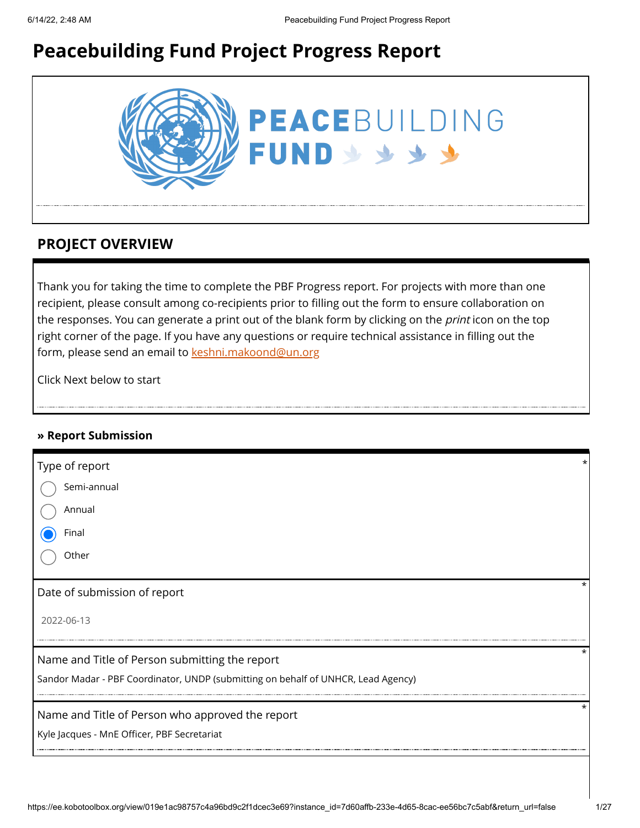# **Peacebuilding Fund Project Progress Report**



### **PROJECT OVERVIEW**

Thank you for taking the time to complete the PBF Progress report. For projects with more than one recipient, please consult among co-recipients prior to filling out the form to ensure collaboration on the responses. You can generate a print out of the blank form by clicking on the *print* icon on the top right corner of the page. If you have any questions or require technical assistance in filling out the form, please send an email to [keshni.makoond@un.org](https://ee.kobotoolbox.org/view/keshni.makoond@un.org)

Click Next below to start

### **» Report Submission**

| Type of report                                                                    |          |
|-----------------------------------------------------------------------------------|----------|
| Semi-annual                                                                       |          |
| Annual                                                                            |          |
| Final                                                                             |          |
| Other                                                                             |          |
| Date of submission of report                                                      | $^\star$ |
| 2022-06-13                                                                        |          |
| Name and Title of Person submitting the report                                    | $^\star$ |
| Sandor Madar - PBF Coordinator, UNDP (submitting on behalf of UNHCR, Lead Agency) |          |
| Name and Title of Person who approved the report                                  | $^\star$ |
| Kyle Jacques - MnE Officer, PBF Secretariat                                       |          |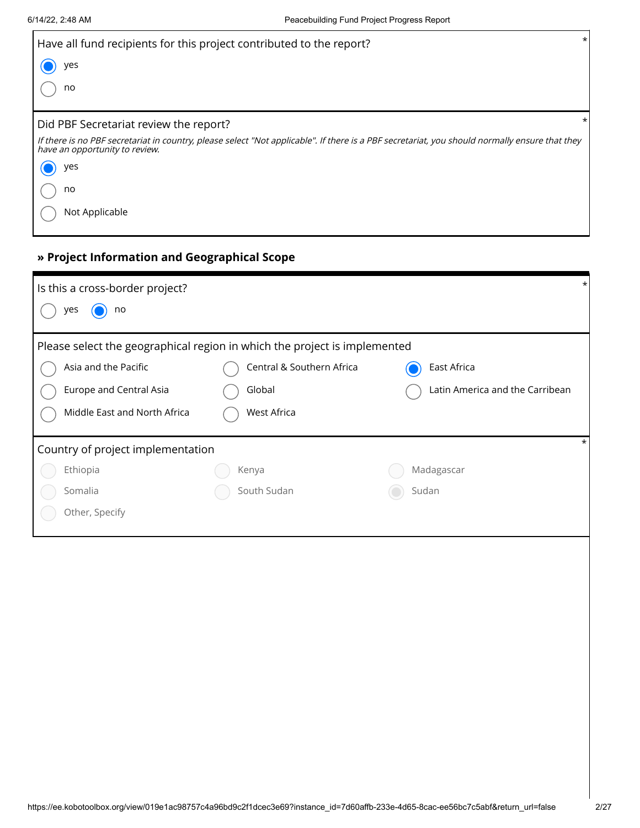| Have all fund recipients for this project contributed to the report?                                                                                                             | $\star$ |
|----------------------------------------------------------------------------------------------------------------------------------------------------------------------------------|---------|
| yes                                                                                                                                                                              |         |
| no                                                                                                                                                                               |         |
| Did PBF Secretariat review the report?                                                                                                                                           | *       |
| If there is no PBF secretariat in country, please select "Not applicable". If there is a PBF secretariat, you should normally ensure that they<br>have an opportunity to review. |         |
| yes                                                                                                                                                                              |         |
| no                                                                                                                                                                               |         |
| Not Applicable                                                                                                                                                                   |         |

## **» Project Information and Geographical Scope**

| $\ast$<br>Is this a cross-border project?                                 |                                        |                                 |  |  |  |
|---------------------------------------------------------------------------|----------------------------------------|---------------------------------|--|--|--|
| yes<br>no                                                                 |                                        |                                 |  |  |  |
| Please select the geographical region in which the project is implemented |                                        |                                 |  |  |  |
| Asia and the Pacific                                                      | Central & Southern Africa              | East Africa                     |  |  |  |
| Europe and Central Asia                                                   | Global                                 | Latin America and the Carribean |  |  |  |
| Middle East and North Africa                                              | West Africa                            |                                 |  |  |  |
|                                                                           | *<br>Country of project implementation |                                 |  |  |  |
| Ethiopia                                                                  | Kenya                                  | Madagascar                      |  |  |  |
| Somalia                                                                   | South Sudan                            | Sudan                           |  |  |  |
| Other, Specify                                                            |                                        |                                 |  |  |  |
|                                                                           |                                        |                                 |  |  |  |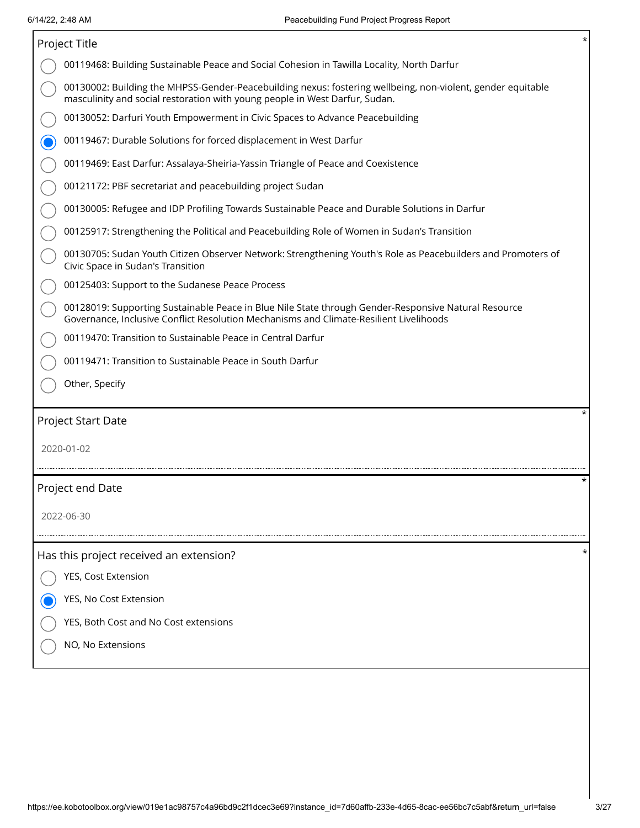| $^\star$<br>Project Title                                                                                                                                                                      |  |  |  |  |  |
|------------------------------------------------------------------------------------------------------------------------------------------------------------------------------------------------|--|--|--|--|--|
| 00119468: Building Sustainable Peace and Social Cohesion in Tawilla Locality, North Darfur                                                                                                     |  |  |  |  |  |
| 00130002: Building the MHPSS-Gender-Peacebuilding nexus: fostering wellbeing, non-violent, gender equitable<br>masculinity and social restoration with young people in West Darfur, Sudan.     |  |  |  |  |  |
| 00130052: Darfuri Youth Empowerment in Civic Spaces to Advance Peacebuilding                                                                                                                   |  |  |  |  |  |
| 00119467: Durable Solutions for forced displacement in West Darfur                                                                                                                             |  |  |  |  |  |
| 00119469: East Darfur: Assalaya-Sheiria-Yassin Triangle of Peace and Coexistence                                                                                                               |  |  |  |  |  |
| 00121172: PBF secretariat and peacebuilding project Sudan                                                                                                                                      |  |  |  |  |  |
| 00130005: Refugee and IDP Profiling Towards Sustainable Peace and Durable Solutions in Darfur                                                                                                  |  |  |  |  |  |
| 00125917: Strengthening the Political and Peacebuilding Role of Women in Sudan's Transition                                                                                                    |  |  |  |  |  |
| 00130705: Sudan Youth Citizen Observer Network: Strengthening Youth's Role as Peacebuilders and Promoters of<br>Civic Space in Sudan's Transition                                              |  |  |  |  |  |
| 00125403: Support to the Sudanese Peace Process                                                                                                                                                |  |  |  |  |  |
| 00128019: Supporting Sustainable Peace in Blue Nile State through Gender-Responsive Natural Resource<br>Governance, Inclusive Conflict Resolution Mechanisms and Climate-Resilient Livelihoods |  |  |  |  |  |
| 00119470: Transition to Sustainable Peace in Central Darfur                                                                                                                                    |  |  |  |  |  |
| 00119471: Transition to Sustainable Peace in South Darfur                                                                                                                                      |  |  |  |  |  |
| Other, Specify                                                                                                                                                                                 |  |  |  |  |  |
| Project Start Date                                                                                                                                                                             |  |  |  |  |  |
| 2020-01-02                                                                                                                                                                                     |  |  |  |  |  |
| *                                                                                                                                                                                              |  |  |  |  |  |
| Project end Date                                                                                                                                                                               |  |  |  |  |  |
| 2022-06-30                                                                                                                                                                                     |  |  |  |  |  |
|                                                                                                                                                                                                |  |  |  |  |  |
| *<br>Has this project received an extension?                                                                                                                                                   |  |  |  |  |  |
| YES, Cost Extension                                                                                                                                                                            |  |  |  |  |  |
| YES, No Cost Extension                                                                                                                                                                         |  |  |  |  |  |
| YES, Both Cost and No Cost extensions                                                                                                                                                          |  |  |  |  |  |
| NO, No Extensions                                                                                                                                                                              |  |  |  |  |  |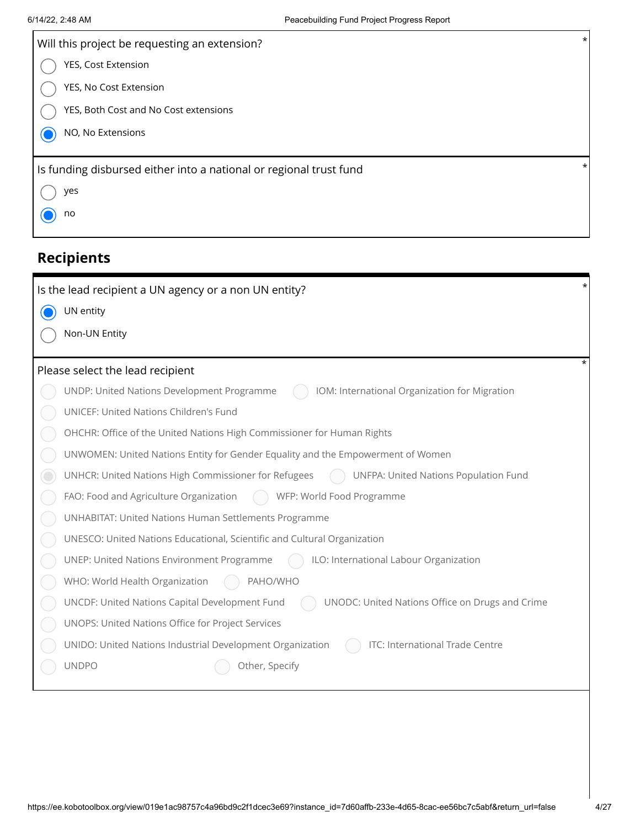| Will this project be requesting an extension?                      | $\star$ |
|--------------------------------------------------------------------|---------|
| YES, Cost Extension                                                |         |
| YES, No Cost Extension                                             |         |
| YES, Both Cost and No Cost extensions                              |         |
| NO, No Extensions                                                  |         |
|                                                                    |         |
| Is funding disbursed either into a national or regional trust fund | $\ast$  |
| yes                                                                |         |
|                                                                    |         |
| no                                                                 |         |
|                                                                    |         |

| Is the lead recipient a UN agency or a non UN entity?                                             |  |
|---------------------------------------------------------------------------------------------------|--|
| UN entity                                                                                         |  |
| Non-UN Entity                                                                                     |  |
|                                                                                                   |  |
| Please select the lead recipient                                                                  |  |
| UNDP: United Nations Development Programme<br>IOM: International Organization for Migration       |  |
| UNICEF: United Nations Children's Fund                                                            |  |
| OHCHR: Office of the United Nations High Commissioner for Human Rights                            |  |
| UNWOMEN: United Nations Entity for Gender Equality and the Empowerment of Women                   |  |
| UNHCR: United Nations High Commissioner for Refugees<br>UNFPA: United Nations Population Fund     |  |
| FAO: Food and Agriculture Organization<br>WFP: World Food Programme                               |  |
| UNHABITAT: United Nations Human Settlements Programme                                             |  |
| UNESCO: United Nations Educational, Scientific and Cultural Organization                          |  |
| UNEP: United Nations Environment Programme<br>ILO: International Labour Organization              |  |
| WHO: World Health Organization<br>AHO/WHO                                                         |  |
| UNODC: United Nations Office on Drugs and Crime<br>UNCDF: United Nations Capital Development Fund |  |
| UNOPS: United Nations Office for Project Services                                                 |  |
| UNIDO: United Nations Industrial Development Organization<br>ITC: International Trade Centre      |  |
| <b>UNDPO</b><br>Other, Specify                                                                    |  |
|                                                                                                   |  |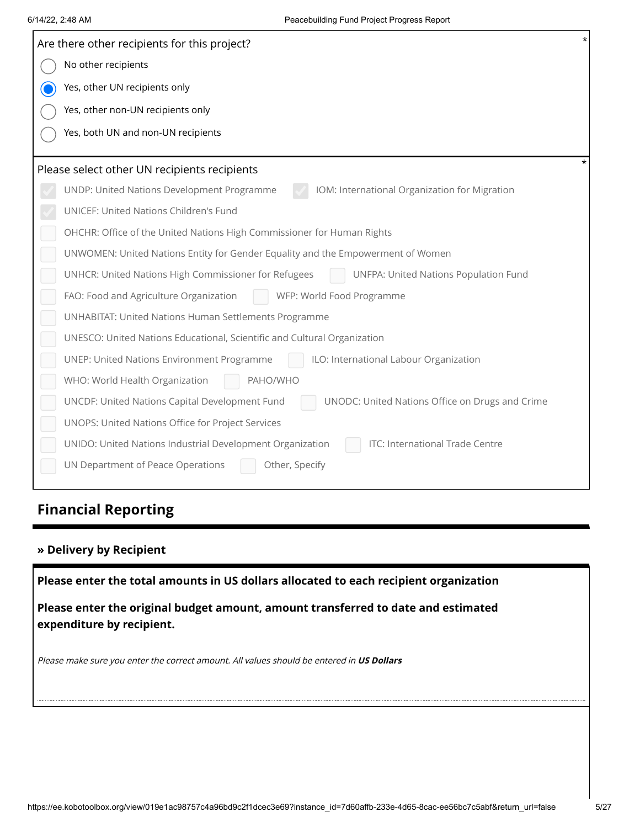|             | Are there other recipients for this project?                                                                   |  |  |
|-------------|----------------------------------------------------------------------------------------------------------------|--|--|
|             | No other recipients                                                                                            |  |  |
| $\mathbf O$ | Yes, other UN recipients only                                                                                  |  |  |
|             | Yes, other non-UN recipients only                                                                              |  |  |
|             | Yes, both UN and non-UN recipients                                                                             |  |  |
|             |                                                                                                                |  |  |
|             | Please select other UN recipients recipients                                                                   |  |  |
|             | IOM: International Organization for Migration<br>UNDP: United Nations Development Programme                    |  |  |
|             | UNICEF: United Nations Children's Fund                                                                         |  |  |
|             | OHCHR: Office of the United Nations High Commissioner for Human Rights                                         |  |  |
|             | UNWOMEN: United Nations Entity for Gender Equality and the Empowerment of Women                                |  |  |
|             | UNHCR: United Nations High Commissioner for Refugees<br>UNFPA: United Nations Population Fund                  |  |  |
|             | FAO: Food and Agriculture Organization<br>WFP: World Food Programme                                            |  |  |
|             | UNHABITAT: United Nations Human Settlements Programme                                                          |  |  |
|             | UNESCO: United Nations Educational, Scientific and Cultural Organization                                       |  |  |
|             | <b>UNEP: United Nations Environment Programme</b><br>ILO: International Labour Organization                    |  |  |
|             | WHO: World Health Organization<br>PAHO/WHO                                                                     |  |  |
|             | UNCDF: United Nations Capital Development Fund<br>UNODC: United Nations Office on Drugs and Crime              |  |  |
|             | UNOPS: United Nations Office for Project Services                                                              |  |  |
|             | UNIDO: United Nations Industrial Development Organization<br>ITC: International Trade Centre                   |  |  |
|             | UN Department of Peace Operations<br>Other, Specify                                                            |  |  |
|             |                                                                                                                |  |  |
|             | <b>Financial Reporting</b>                                                                                     |  |  |
|             |                                                                                                                |  |  |
|             | » Delivery by Recipient                                                                                        |  |  |
|             | Please enter the total amounts in US dollars allocated to each recipient organization                          |  |  |
|             |                                                                                                                |  |  |
|             | Please enter the original budget amount, amount transferred to date and estimated<br>expenditure by recipient. |  |  |
|             | Please make sure you enter the correct amount. All values should be entered in US Dollars                      |  |  |
|             |                                                                                                                |  |  |
|             |                                                                                                                |  |  |
|             |                                                                                                                |  |  |
|             |                                                                                                                |  |  |
|             |                                                                                                                |  |  |
|             |                                                                                                                |  |  |

## **Financial Reporting**

### **» Delivery by Recipient**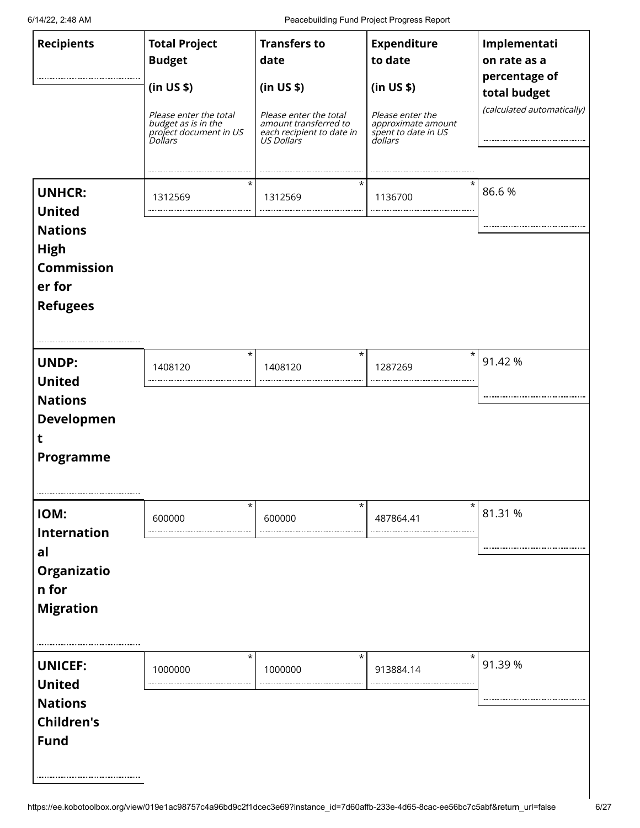6/14/22, 2:48 AM Peacebuilding Fund Project Progress Report

| <b>Recipients</b>                                                                                                 | <b>Total Project</b><br><b>Budget</b><br>(in US \$)<br>Please enter the total<br>budget as is in the<br>project document in US<br>Dollars<br>$^\star$ | <b>Transfers to</b><br>date<br>(in US \$)<br>Please enter the total<br>amount transferred to<br>each recipient to date in<br>US Dollars<br>$^\star$ | <b>Expenditure</b><br>to date<br>(in US \$)<br>Please enter the<br>approximate amount<br>spent to date in US<br>dollars<br>$\star$ | Implementati<br>on rate as a<br>percentage of<br>total budget<br>(calculated automatically) |
|-------------------------------------------------------------------------------------------------------------------|-------------------------------------------------------------------------------------------------------------------------------------------------------|-----------------------------------------------------------------------------------------------------------------------------------------------------|------------------------------------------------------------------------------------------------------------------------------------|---------------------------------------------------------------------------------------------|
| <b>UNHCR:</b><br><b>United</b><br><b>Nations</b><br><b>High</b><br><b>Commission</b><br>er for<br><b>Refugees</b> | 1312569                                                                                                                                               | 1312569                                                                                                                                             | 1136700                                                                                                                            | 86.6%                                                                                       |
| <b>UNDP:</b><br><b>United</b><br><b>Nations</b><br>Developmen<br>τ<br><b>Programme</b>                            | $\star$<br>1408120                                                                                                                                    | $^\star$<br>1408120                                                                                                                                 | $^\star$<br>1287269                                                                                                                | 91.42 %                                                                                     |
| IOM:<br><b>Internation</b><br>al<br><b>Organizatio</b><br>n for<br><b>Migration</b>                               | $\star$<br>600000                                                                                                                                     | $\star$<br>600000                                                                                                                                   | $\star$<br>487864.41                                                                                                               | 81.31 %                                                                                     |
| <b>UNICEF:</b><br><b>United</b><br><b>Nations</b><br><b>Children's</b><br><b>Fund</b>                             | $^\star$<br>1000000                                                                                                                                   | $\star$<br>1000000                                                                                                                                  | $\star$<br>913884.14                                                                                                               | 91.39 %                                                                                     |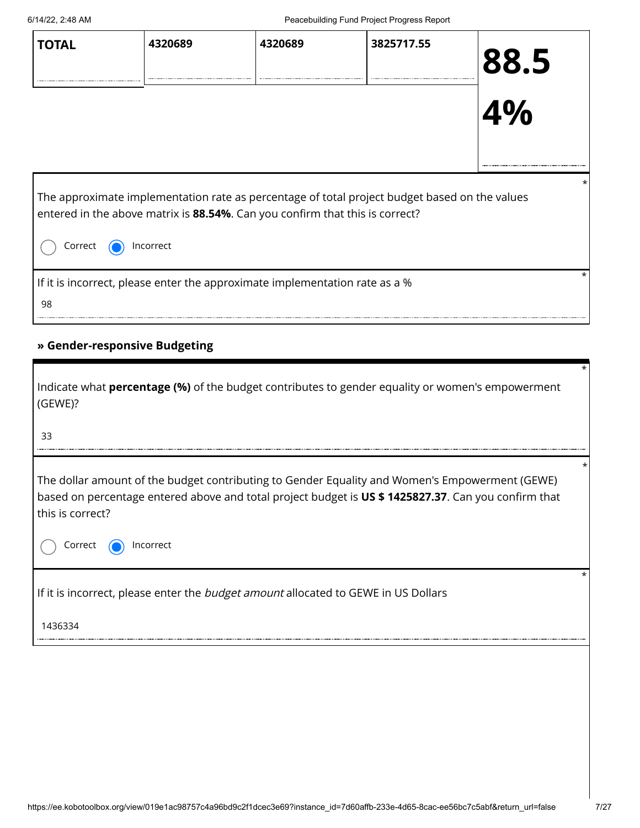| <b>TOTAL</b>                                                                                                                                                                                          | 4320689 | 4320689                                                                     | 3825717.55 | 88.5<br>4% |
|-------------------------------------------------------------------------------------------------------------------------------------------------------------------------------------------------------|---------|-----------------------------------------------------------------------------|------------|------------|
| The approximate implementation rate as percentage of total project budget based on the values<br>entered in the above matrix is 88.54%. Can you confirm that this is correct?<br>Correct<br>Incorrect |         |                                                                             |            |            |
| 98                                                                                                                                                                                                    |         | If it is incorrect, please enter the approximate implementation rate as a % |            |            |

### **» Gender-responsive Budgeting**

| Indicate what <b>percentage (%)</b> of the budget contributes to gender equality or women's empowerment<br>(GEWE)?<br>33                                                                                                  | $\star$ |
|---------------------------------------------------------------------------------------------------------------------------------------------------------------------------------------------------------------------------|---------|
|                                                                                                                                                                                                                           |         |
| The dollar amount of the budget contributing to Gender Equality and Women's Empowerment (GEWE)<br>based on percentage entered above and total project budget is US \$1425827.37. Can you confirm that<br>this is correct? | *       |
| Correct<br>Incorrect                                                                                                                                                                                                      |         |
| If it is incorrect, please enter the budget amount allocated to GEWE in US Dollars                                                                                                                                        | *       |
| 1436334                                                                                                                                                                                                                   |         |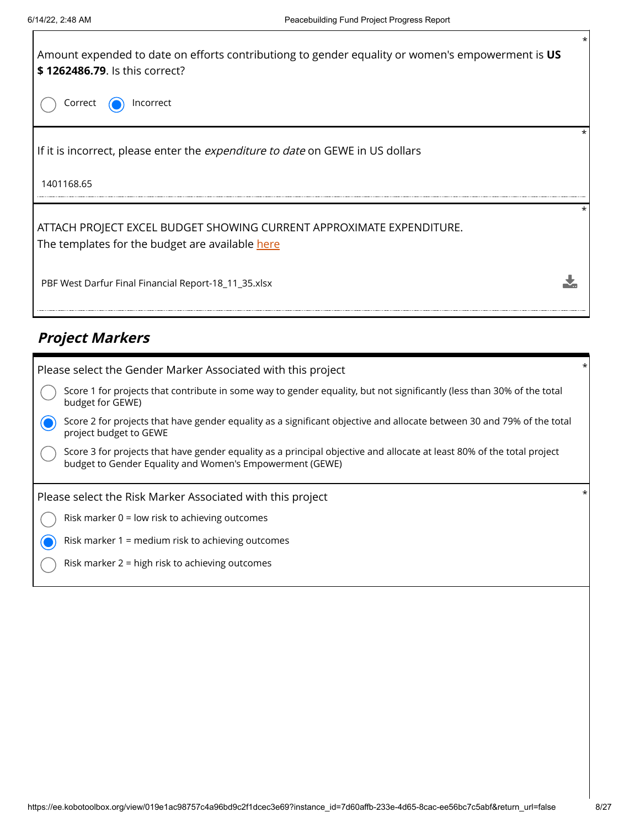

## **Project Markers**

| Please select the Gender Marker Associated with this project                                                                                                                       | $\star$ |
|------------------------------------------------------------------------------------------------------------------------------------------------------------------------------------|---------|
| Score 1 for projects that contribute in some way to gender equality, but not significantly (less than 30% of the total<br>budget for GEWE)                                         |         |
| Score 2 for projects that have gender equality as a significant objective and allocate between 30 and 79% of the total<br>project budget to GEWE                                   |         |
| Score 3 for projects that have gender equality as a principal objective and allocate at least 80% of the total project<br>budget to Gender Equality and Women's Empowerment (GEWE) |         |
| Please select the Risk Marker Associated with this project                                                                                                                         |         |
| Risk marker $0 =$ low risk to achieving outcomes                                                                                                                                   |         |
| Risk marker 1 = medium risk to achieving outcomes                                                                                                                                  |         |
| Risk marker 2 = high risk to achieving outcomes                                                                                                                                    |         |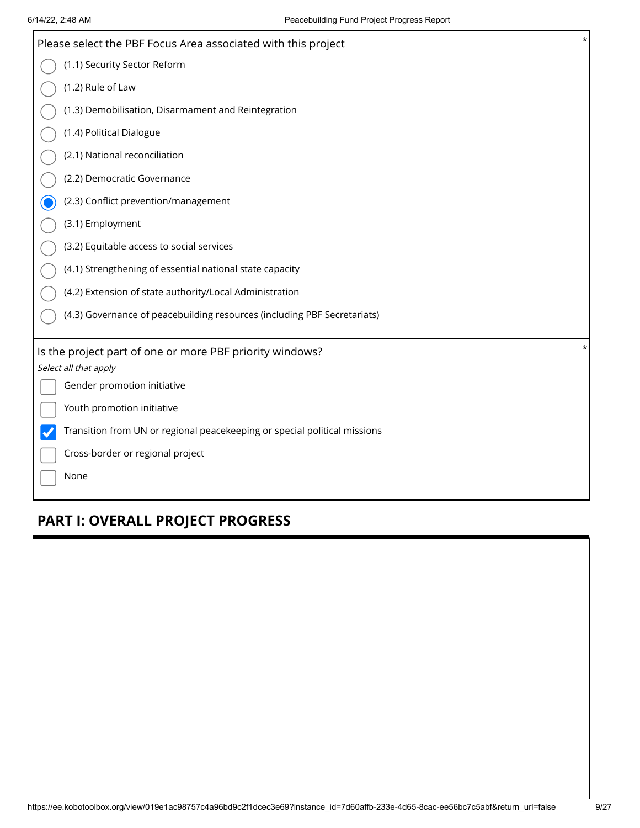| Please select the PBF Focus Area associated with this project             | $^\star$ |
|---------------------------------------------------------------------------|----------|
| (1.1) Security Sector Reform                                              |          |
| (1.2) Rule of Law                                                         |          |
| (1.3) Demobilisation, Disarmament and Reintegration                       |          |
| (1.4) Political Dialogue                                                  |          |
| (2.1) National reconciliation                                             |          |
| (2.2) Democratic Governance                                               |          |
| (2.3) Conflict prevention/management                                      |          |
| (3.1) Employment                                                          |          |
| (3.2) Equitable access to social services                                 |          |
| (4.1) Strengthening of essential national state capacity                  |          |
| (4.2) Extension of state authority/Local Administration                   |          |
| (4.3) Governance of peacebuilding resources (including PBF Secretariats)  |          |
|                                                                           | $^\star$ |
| Is the project part of one or more PBF priority windows?                  |          |
| Select all that apply<br>Gender promotion initiative                      |          |
|                                                                           |          |
| Youth promotion initiative                                                |          |
| Transition from UN or regional peacekeeping or special political missions |          |
| Cross-border or regional project                                          |          |
| None                                                                      |          |
|                                                                           |          |

## **PART I: OVERALL PROJECT PROGRESS**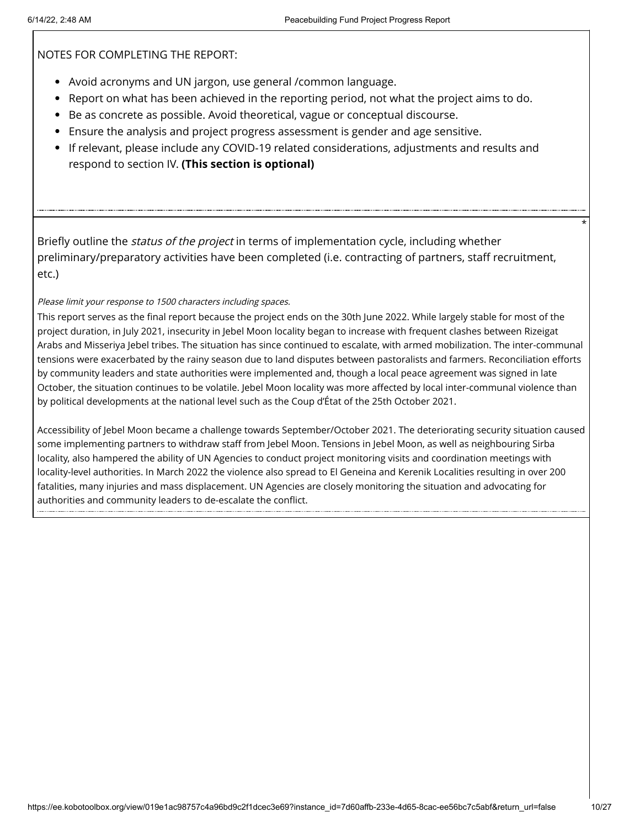NOTES FOR COMPLETING THE REPORT:

- Avoid acronyms and UN jargon, use general /common language.
- Report on what has been achieved in the reporting period, not what the project aims to do.
- Be as concrete as possible. Avoid theoretical, vague or conceptual discourse.
- Ensure the analysis and project progress assessment is gender and age sensitive.
- If relevant, please include any COVID-19 related considerations, adjustments and results and respond to section IV. **(This section is optional)**

Briefly outline the *status of the project* in terms of implementation cycle, including whether preliminary/preparatory activities have been completed (i.e. contracting of partners, staff recruitment, etc.)

Please limit your response to 1500 characters including spaces.

This report serves as the final report because the project ends on the 30th June 2022. While largely stable for most of the project duration, in July 2021, insecurity in Jebel Moon locality began to increase with frequent clashes between Rizeigat Arabs and Misseriya Jebel tribes. The situation has since continued to escalate, with armed mobilization. The inter-communal tensions were exacerbated by the rainy season due to land disputes between pastoralists and farmers. Reconciliation efforts by community leaders and state authorities were implemented and, though a local peace agreement was signed in late October, the situation continues to be volatile. Jebel Moon locality was more affected by local inter-communal violence than by political developments at the national level such as the Coup d'État of the 25th October 2021.

Accessibility of Jebel Moon became a challenge towards September/October 2021. The deteriorating security situation caused some implementing partners to withdraw staff from Jebel Moon. Tensions in Jebel Moon, as well as neighbouring Sirba locality, also hampered the ability of UN Agencies to conduct project monitoring visits and coordination meetings with locality-level authorities. In March 2022 the violence also spread to El Geneina and Kerenik Localities resulting in over 200 fatalities, many injuries and mass displacement. UN Agencies are closely monitoring the situation and advocating for authorities and community leaders to de-escalate the conflict.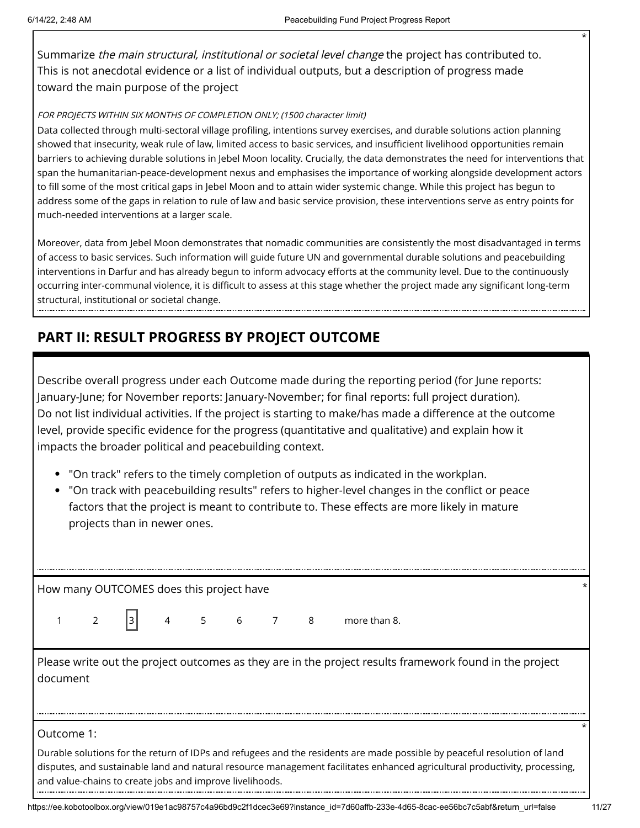Summarize the main structural, institutional or societal level change the project has contributed to. This is not anecdotal evidence or a list of individual outputs, but a description of progress made toward the main purpose of the project

#### FOR PROJECTS WITHIN SIX MONTHS OF COMPLETION ONLY; (1500 character limit)

Data collected through multi-sectoral village profiling, intentions survey exercises, and durable solutions action planning showed that insecurity, weak rule of law, limited access to basic services, and insufficient livelihood opportunities remain barriers to achieving durable solutions in Jebel Moon locality. Crucially, the data demonstrates the need for interventions that span the humanitarian-peace-development nexus and emphasises the importance of working alongside development actors to fill some of the most critical gaps in Jebel Moon and to attain wider systemic change. While this project has begun to address some of the gaps in relation to rule of law and basic service provision, these interventions serve as entry points for much-needed interventions at a larger scale.

Moreover, data from Jebel Moon demonstrates that nomadic communities are consistently the most disadvantaged in terms of access to basic services. Such information will guide future UN and governmental durable solutions and peacebuilding interventions in Darfur and has already begun to inform advocacy efforts at the community level. Due to the continuously occurring inter-communal violence, it is difficult to assess at this stage whether the project made any significant long-term structural, institutional or societal change.

## **PART II: RESULT PROGRESS BY PROJECT OUTCOME**

Describe overall progress under each Outcome made during the reporting period (for June reports: January-June; for November reports: January-November; for final reports: full project duration). Do not list individual activities. If the project is starting to make/has made a difference at the outcome level, provide specific evidence for the progress (quantitative and qualitative) and explain how it impacts the broader political and peacebuilding context.

- "On track" refers to the timely completion of outputs as indicated in the workplan.
- "On track with peacebuilding results" refers to higher-level changes in the conflict or peace factors that the project is meant to contribute to. These effects are more likely in mature projects than in newer ones.

How many OUTCOMES does this project have \*

 $1 \t2 \t3 \t4 \t5 \t6 \t7 \t8 \t more than 8.$ 

Please write out the project outcomes as they are in the project results framework found in the project document

#### Outcome 1:

Durable solutions for the return of IDPs and refugees and the residents are made possible by peaceful resolution of land disputes, and sustainable land and natural resource management facilitates enhanced agricultural productivity, processing, and value-chains to create jobs and improve livelihoods.

\*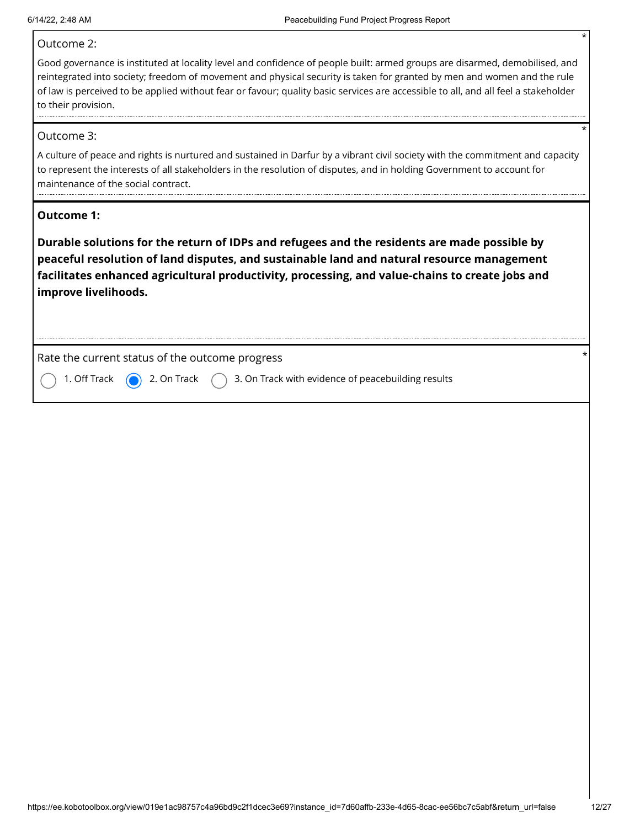#### Outcome 2:

Good governance is instituted at locality level and confidence of people built: armed groups are disarmed, demobilised, and reintegrated into society; freedom of movement and physical security is taken for granted by men and women and the rule of law is perceived to be applied without fear or favour; quality basic services are accessible to all, and all feel a stakeholder to their provision.

#### Outcome 3:

A culture of peace and rights is nurtured and sustained in Darfur by a vibrant civil society with the commitment and capacity to represent the interests of all stakeholders in the resolution of disputes, and in holding Government to account for maintenance of the social contract.

#### **Outcome 1:**

**Durable solutions for the return of IDPs and refugees and the residents are made possible by peaceful resolution of land disputes, and sustainable land and natural resource management facilitates enhanced agricultural productivity, processing, and value-chains to create jobs and improve livelihoods.**

Rate the current status of the outcome progress \*

1. Off Track  $\bigcirc$  2. On Track  $\bigcirc$  3. On Track with evidence of peacebuilding results

\*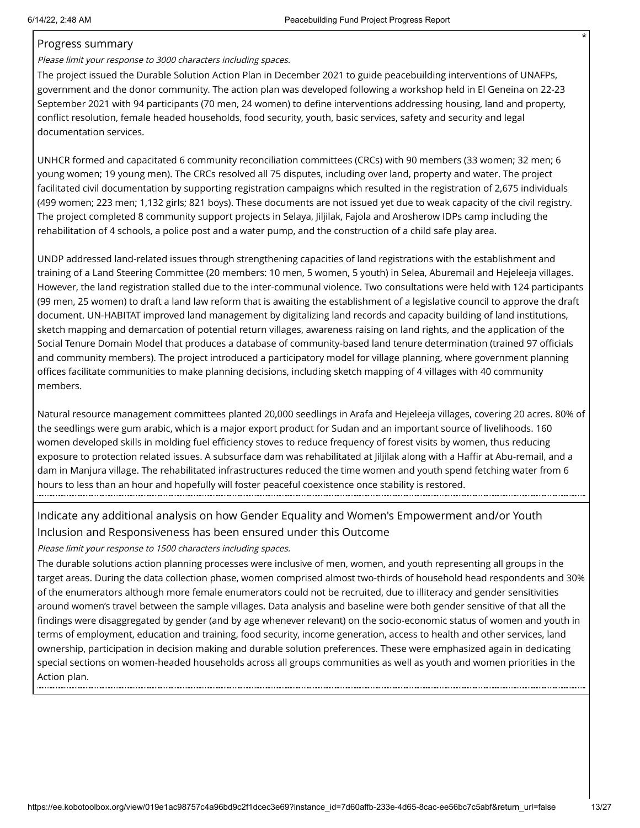#### Progress summary

Please limit your response to 3000 characters including spaces.

The project issued the Durable Solution Action Plan in December 2021 to guide peacebuilding interventions of UNAFPs, government and the donor community. The action plan was developed following a workshop held in El Geneina on 22-23 September 2021 with 94 participants (70 men, 24 women) to define interventions addressing housing, land and property, conflict resolution, female headed households, food security, youth, basic services, safety and security and legal documentation services.

UNHCR formed and capacitated 6 community reconciliation committees (CRCs) with 90 members (33 women; 32 men; 6 young women; 19 young men). The CRCs resolved all 75 disputes, including over land, property and water. The project facilitated civil documentation by supporting registration campaigns which resulted in the registration of 2,675 individuals (499 women; 223 men; 1,132 girls; 821 boys). These documents are not issued yet due to weak capacity of the civil registry. The project completed 8 community support projects in Selaya, Jiljilak, Fajola and Arosherow IDPs camp including the rehabilitation of 4 schools, a police post and a water pump, and the construction of a child safe play area.

UNDP addressed land-related issues through strengthening capacities of land registrations with the establishment and training of a Land Steering Committee (20 members: 10 men, 5 women, 5 youth) in Selea, Aburemail and Hejeleeja villages. However, the land registration stalled due to the inter-communal violence. Two consultations were held with 124 participants (99 men, 25 women) to draft a land law reform that is awaiting the establishment of a legislative council to approve the draft document. UN-HABITAT improved land management by digitalizing land records and capacity building of land institutions, sketch mapping and demarcation of potential return villages, awareness raising on land rights, and the application of the Social Tenure Domain Model that produces a database of community-based land tenure determination (trained 97 officials and community members). The project introduced a participatory model for village planning, where government planning offices facilitate communities to make planning decisions, including sketch mapping of 4 villages with 40 community members.

Natural resource management committees planted 20,000 seedlings in Arafa and Hejeleeja villages, covering 20 acres. 80% of the seedlings were gum arabic, which is a major export product for Sudan and an important source of livelihoods. 160 women developed skills in molding fuel efficiency stoves to reduce frequency of forest visits by women, thus reducing exposure to protection related issues. A subsurface dam was rehabilitated at Jiljilak along with a Haffir at Abu-remail, and a dam in Manjura village. The rehabilitated infrastructures reduced the time women and youth spend fetching water from 6 hours to less than an hour and hopefully will foster peaceful coexistence once stability is restored.

### Indicate any additional analysis on how Gender Equality and Women's Empowerment and/or Youth Inclusion and Responsiveness has been ensured under this Outcome

Please limit your response to 1500 characters including spaces.

The durable solutions action planning processes were inclusive of men, women, and youth representing all groups in the target areas. During the data collection phase, women comprised almost two-thirds of household head respondents and 30% of the enumerators although more female enumerators could not be recruited, due to illiteracy and gender sensitivities around women's travel between the sample villages. Data analysis and baseline were both gender sensitive of that all the findings were disaggregated by gender (and by age whenever relevant) on the socio-economic status of women and youth in terms of employment, education and training, food security, income generation, access to health and other services, land ownership, participation in decision making and durable solution preferences. These were emphasized again in dedicating special sections on women-headed households across all groups communities as well as youth and women priorities in the Action plan.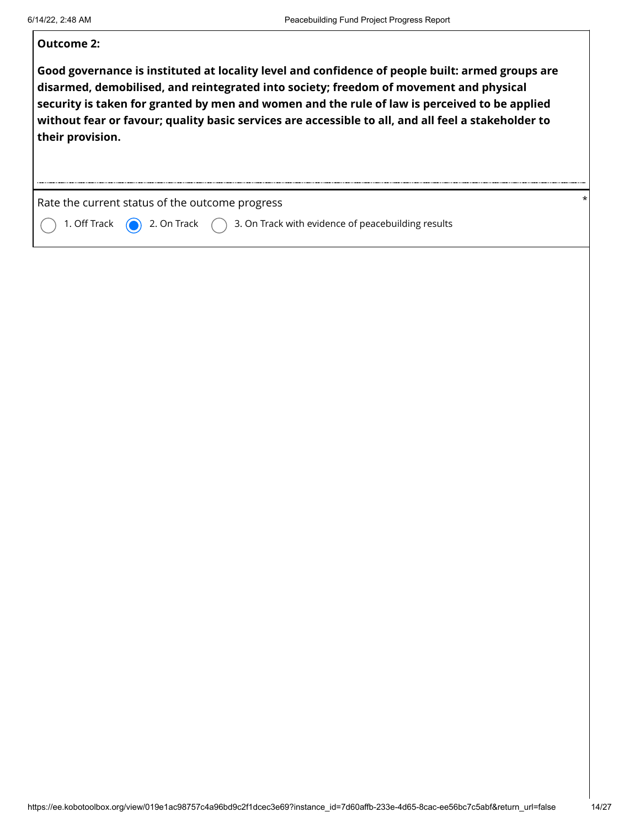Г

| <b>Outcome 2:</b>                                                                                                                                                                                                                                                                                                                                                                                                      |   |
|------------------------------------------------------------------------------------------------------------------------------------------------------------------------------------------------------------------------------------------------------------------------------------------------------------------------------------------------------------------------------------------------------------------------|---|
| Good governance is instituted at locality level and confidence of people built: armed groups are<br>disarmed, demobilised, and reintegrated into society; freedom of movement and physical<br>security is taken for granted by men and women and the rule of law is perceived to be applied<br>without fear or favour; quality basic services are accessible to all, and all feel a stakeholder to<br>their provision. |   |
| Rate the current status of the outcome progress                                                                                                                                                                                                                                                                                                                                                                        | * |
| 3. On Track with evidence of peacebuilding results<br>1. Off Track<br>2. On Track                                                                                                                                                                                                                                                                                                                                      |   |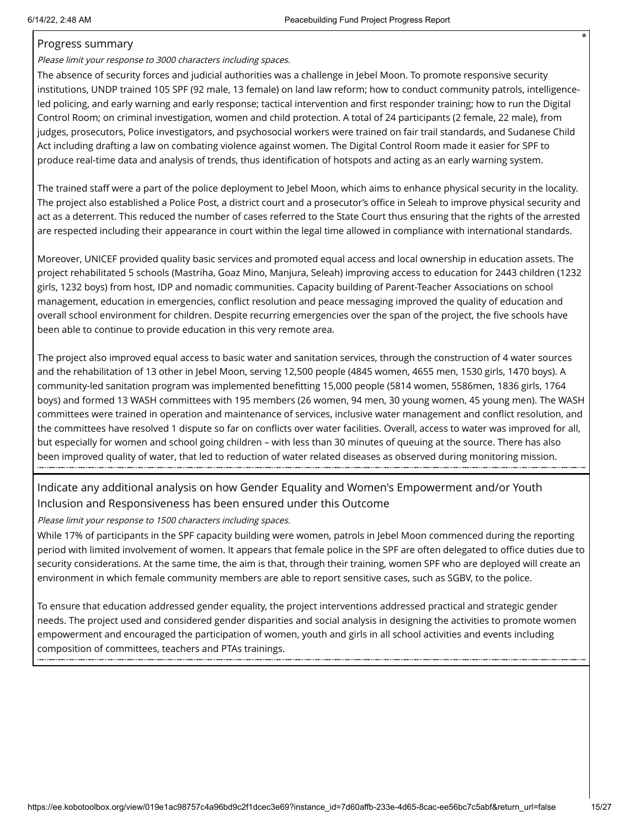#### Progress summary

Please limit your response to 3000 characters including spaces.

The absence of security forces and judicial authorities was a challenge in Jebel Moon. To promote responsive security institutions, UNDP trained 105 SPF (92 male, 13 female) on land law reform; how to conduct community patrols, intelligenceled policing, and early warning and early response; tactical intervention and first responder training; how to run the Digital Control Room; on criminal investigation, women and child protection. A total of 24 participants (2 female, 22 male), from judges, prosecutors, Police investigators, and psychosocial workers were trained on fair trail standards, and Sudanese Child Act including drafting a law on combating violence against women. The Digital Control Room made it easier for SPF to produce real-time data and analysis of trends, thus identification of hotspots and acting as an early warning system.

The trained staff were a part of the police deployment to Jebel Moon, which aims to enhance physical security in the locality. The project also established a Police Post, a district court and a prosecutor's office in Seleah to improve physical security and act as a deterrent. This reduced the number of cases referred to the State Court thus ensuring that the rights of the arrested are respected including their appearance in court within the legal time allowed in compliance with international standards.

Moreover, UNICEF provided quality basic services and promoted equal access and local ownership in education assets. The project rehabilitated 5 schools (Mastriha, Goaz Mino, Manjura, Seleah) improving access to education for 2443 children (1232 girls, 1232 boys) from host, IDP and nomadic communities. Capacity building of Parent-Teacher Associations on school management, education in emergencies, conflict resolution and peace messaging improved the quality of education and overall school environment for children. Despite recurring emergencies over the span of the project, the five schools have been able to continue to provide education in this very remote area.

The project also improved equal access to basic water and sanitation services, through the construction of 4 water sources and the rehabilitation of 13 other in Jebel Moon, serving 12,500 people (4845 women, 4655 men, 1530 girls, 1470 boys). A community-led sanitation program was implemented benefitting 15,000 people (5814 women, 5586men, 1836 girls, 1764 boys) and formed 13 WASH committees with 195 members (26 women, 94 men, 30 young women, 45 young men). The WASH committees were trained in operation and maintenance of services, inclusive water management and conflict resolution, and the committees have resolved 1 dispute so far on conflicts over water facilities. Overall, access to water was improved for all, but especially for women and school going children – with less than 30 minutes of queuing at the source. There has also been improved quality of water, that led to reduction of water related diseases as observed during monitoring mission.

Indicate any additional analysis on how Gender Equality and Women's Empowerment and/or Youth Inclusion and Responsiveness has been ensured under this Outcome

Please limit your response to 1500 characters including spaces.

While 17% of participants in the SPF capacity building were women, patrols in Jebel Moon commenced during the reporting period with limited involvement of women. It appears that female police in the SPF are often delegated to office duties due to security considerations. At the same time, the aim is that, through their training, women SPF who are deployed will create an environment in which female community members are able to report sensitive cases, such as SGBV, to the police.

To ensure that education addressed gender equality, the project interventions addressed practical and strategic gender needs. The project used and considered gender disparities and social analysis in designing the activities to promote women empowerment and encouraged the participation of women, youth and girls in all school activities and events including composition of committees, teachers and PTAs trainings.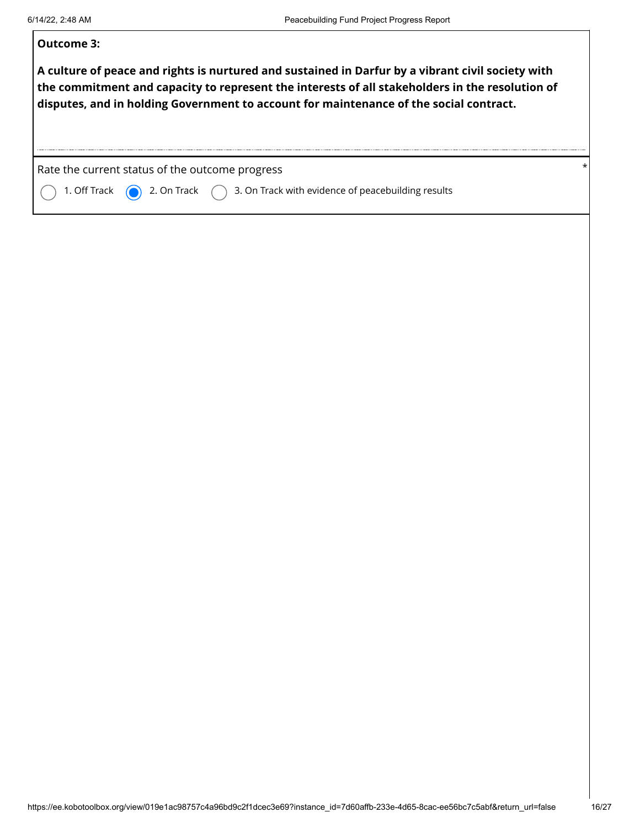| Outcome 3:                                                                                                                                                                                                                                                                                     |          |
|------------------------------------------------------------------------------------------------------------------------------------------------------------------------------------------------------------------------------------------------------------------------------------------------|----------|
| A culture of peace and rights is nurtured and sustained in Darfur by a vibrant civil society with<br>the commitment and capacity to represent the interests of all stakeholders in the resolution of<br>disputes, and in holding Government to account for maintenance of the social contract. |          |
| Rate the current status of the outcome progress                                                                                                                                                                                                                                                | $^\star$ |
| 2. On Track $\binom{1}{2}$ 3. On Track with evidence of peacebuilding results<br>1. Off Track                                                                                                                                                                                                  |          |
|                                                                                                                                                                                                                                                                                                |          |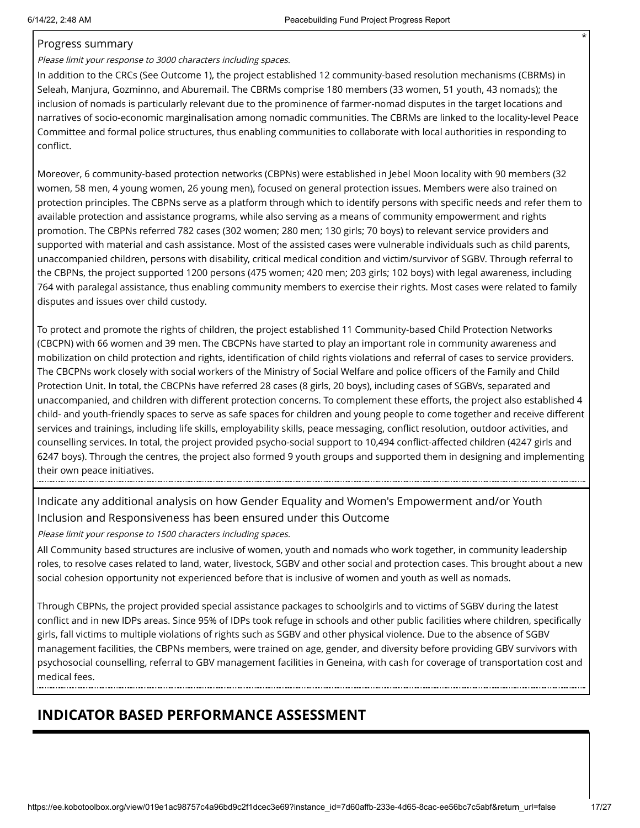#### Progress summary

#### Please limit your response to 3000 characters including spaces.

In addition to the CRCs (See Outcome 1), the project established 12 community-based resolution mechanisms (CBRMs) in Seleah, Manjura, Gozminno, and Aburemail. The CBRMs comprise 180 members (33 women, 51 youth, 43 nomads); the inclusion of nomads is particularly relevant due to the prominence of farmer-nomad disputes in the target locations and narratives of socio-economic marginalisation among nomadic communities. The CBRMs are linked to the locality-level Peace Committee and formal police structures, thus enabling communities to collaborate with local authorities in responding to conflict.

Moreover, 6 community-based protection networks (CBPNs) were established in Jebel Moon locality with 90 members (32 women, 58 men, 4 young women, 26 young men), focused on general protection issues. Members were also trained on protection principles. The CBPNs serve as a platform through which to identify persons with specific needs and refer them to available protection and assistance programs, while also serving as a means of community empowerment and rights promotion. The CBPNs referred 782 cases (302 women; 280 men; 130 girls; 70 boys) to relevant service providers and supported with material and cash assistance. Most of the assisted cases were vulnerable individuals such as child parents, unaccompanied children, persons with disability, critical medical condition and victim/survivor of SGBV. Through referral to the CBPNs, the project supported 1200 persons (475 women; 420 men; 203 girls; 102 boys) with legal awareness, including 764 with paralegal assistance, thus enabling community members to exercise their rights. Most cases were related to family disputes and issues over child custody.

To protect and promote the rights of children, the project established 11 Community-based Child Protection Networks (CBCPN) with 66 women and 39 men. The CBCPNs have started to play an important role in community awareness and mobilization on child protection and rights, identification of child rights violations and referral of cases to service providers. The CBCPNs work closely with social workers of the Ministry of Social Welfare and police officers of the Family and Child Protection Unit. In total, the CBCPNs have referred 28 cases (8 girls, 20 boys), including cases of SGBVs, separated and unaccompanied, and children with different protection concerns. To complement these efforts, the project also established 4 child- and youth-friendly spaces to serve as safe spaces for children and young people to come together and receive different services and trainings, including life skills, employability skills, peace messaging, conflict resolution, outdoor activities, and counselling services. In total, the project provided psycho-social support to 10,494 conflict-affected children (4247 girls and 6247 boys). Through the centres, the project also formed 9 youth groups and supported them in designing and implementing their own peace initiatives.

### Indicate any additional analysis on how Gender Equality and Women's Empowerment and/or Youth Inclusion and Responsiveness has been ensured under this Outcome

Please limit your response to 1500 characters including spaces.

All Community based structures are inclusive of women, youth and nomads who work together, in community leadership roles, to resolve cases related to land, water, livestock, SGBV and other social and protection cases. This brought about a new social cohesion opportunity not experienced before that is inclusive of women and youth as well as nomads.

Through CBPNs, the project provided special assistance packages to schoolgirls and to victims of SGBV during the latest conflict and in new IDPs areas. Since 95% of IDPs took refuge in schools and other public facilities where children, specifically girls, fall victims to multiple violations of rights such as SGBV and other physical violence. Due to the absence of SGBV management facilities, the CBPNs members, were trained on age, gender, and diversity before providing GBV survivors with psychosocial counselling, referral to GBV management facilities in Geneina, with cash for coverage of transportation cost and medical fees.

## **INDICATOR BASED PERFORMANCE ASSESSMENT**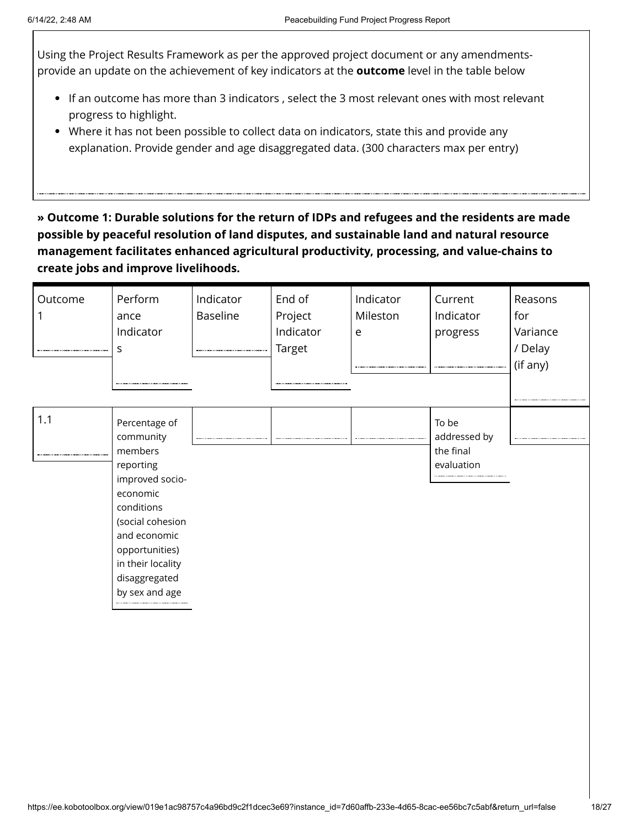Using the Project Results Framework as per the approved project document or any amendmentsprovide an update on the achievement of key indicators at the **outcome** level in the table below

- If an outcome has more than 3 indicators , select the 3 most relevant ones with most relevant progress to highlight.
- Where it has not been possible to collect data on indicators, state this and provide any explanation. Provide gender and age disaggregated data. (300 characters max per entry)

**» Outcome 1: Durable solutions for the return of IDPs and refugees and the residents are made possible by peaceful resolution of land disputes, and sustainable land and natural resource management facilitates enhanced agricultural productivity, processing, and value-chains to create jobs and improve livelihoods.**

| Outcome | Perform<br>ance<br>Indicator<br>S                                                                                                                                                                             | Indicator<br>Baseline<br> | End of<br>Project<br>Indicator<br>Target | Indicator<br>Mileston<br>e | Current<br>Indicator<br>progress                 | Reasons<br>for<br>Variance<br>/ Delay<br>(if any) |
|---------|---------------------------------------------------------------------------------------------------------------------------------------------------------------------------------------------------------------|---------------------------|------------------------------------------|----------------------------|--------------------------------------------------|---------------------------------------------------|
| 1.1     | Percentage of<br>community<br>members<br>reporting<br>improved socio-<br>economic<br>conditions<br>(social cohesion<br>and economic<br>opportunities)<br>in their locality<br>disaggregated<br>by sex and age |                           |                                          |                            | To be<br>addressed by<br>the final<br>evaluation |                                                   |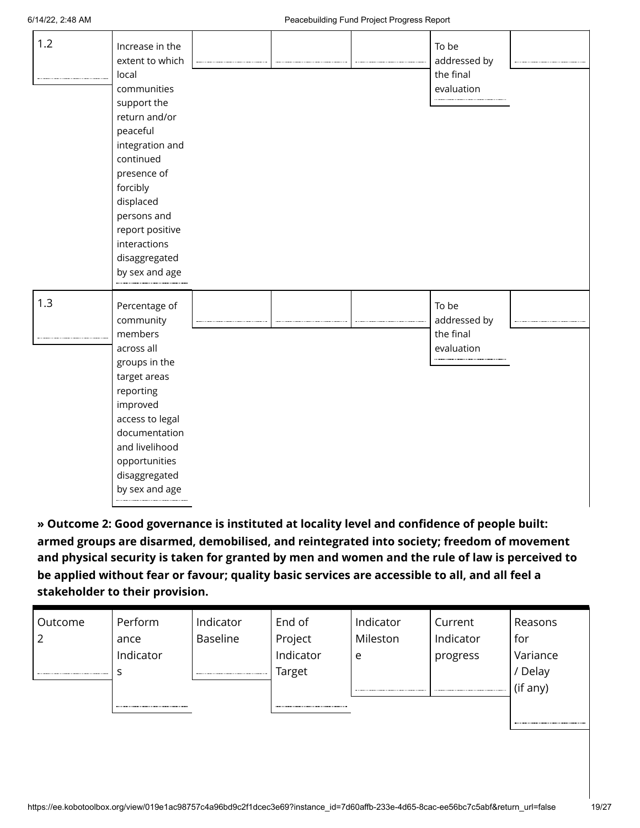| 1.2 | Increase in the<br>extent to which<br>local<br>communities<br>support the<br>return and/or<br>peaceful<br>integration and<br>continued<br>presence of<br>forcibly<br>displaced<br>persons and<br>report positive<br>interactions<br>disaggregated<br>by sex and age |  | To be<br>addressed by<br>the final<br>evaluation |  |
|-----|---------------------------------------------------------------------------------------------------------------------------------------------------------------------------------------------------------------------------------------------------------------------|--|--------------------------------------------------|--|
| 1.3 | Percentage of<br>community<br>members<br>across all<br>groups in the<br>target areas<br>reporting<br>improved<br>access to legal<br>documentation<br>and livelihood<br>opportunities<br>disaggregated<br>by sex and age                                             |  | To be<br>addressed by<br>the final<br>evaluation |  |

**» Outcome 2: Good governance is instituted at locality level and confidence of people built: armed groups are disarmed, demobilised, and reintegrated into society; freedom of movement and physical security is taken for granted by men and women and the rule of law is perceived to be applied without fear or favour; quality basic services are accessible to all, and all feel a stakeholder to their provision.**

| Outcome | Perform   | Indicator | End of    | Indicator | Current   | Reasons  |
|---------|-----------|-----------|-----------|-----------|-----------|----------|
|         | ance      | Baseline  | Project   | Mileston  | Indicator | for      |
|         | Indicator |           | Indicator | e         | progress  | Variance |
|         |           |           | Target    |           |           | / Delay  |
|         |           |           |           |           |           | (if any) |
|         |           |           |           |           |           |          |
|         |           |           |           |           |           |          |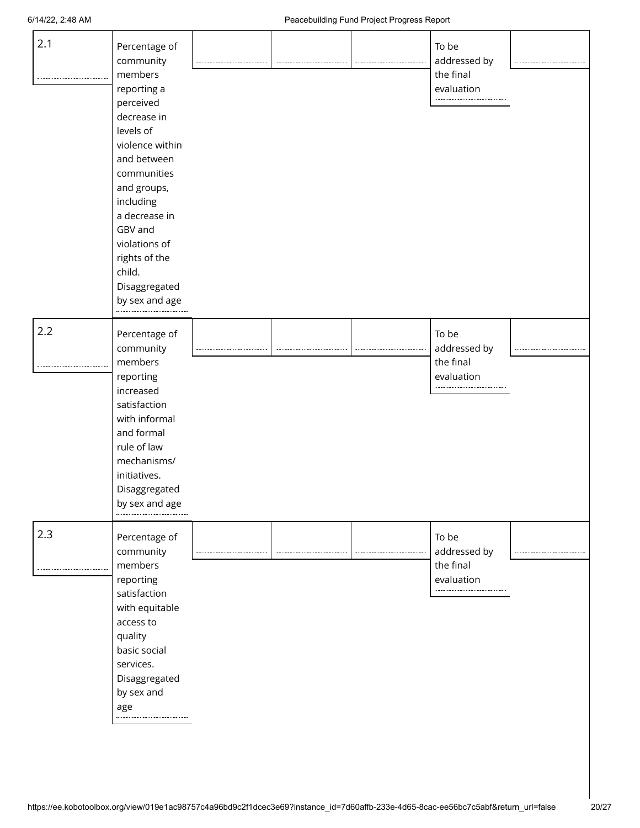| 2.1 | Percentage of<br>community<br>members<br>reporting a<br>perceived<br>decrease in<br>levels of<br>violence within<br>and between<br>communities<br>and groups,<br>including<br>a decrease in<br>GBV and<br>violations of<br>rights of the<br>child.<br>Disaggregated<br>by sex and age |  | To be<br>addressed by<br>the final<br>evaluation<br>$\label{eq:1} \begin{split} \mathcal{L}_{\text{G}}(\mathbf{r},\mathbf{r})=\mathcal{L}_{\text{G}}(\mathbf{r},\mathbf{r})=\mathcal{L}_{\text{G}}(\mathbf{r},\mathbf{r})\,, \end{split}$ |  |
|-----|---------------------------------------------------------------------------------------------------------------------------------------------------------------------------------------------------------------------------------------------------------------------------------------|--|-------------------------------------------------------------------------------------------------------------------------------------------------------------------------------------------------------------------------------------------|--|
| 2.2 | Percentage of<br>community<br>members<br>reporting<br>increased<br>satisfaction<br>with informal<br>and formal<br>rule of law<br>mechanisms/<br>initiatives.<br>Disaggregated<br>by sex and age                                                                                       |  | To be<br>addressed by<br>the final<br>evaluation                                                                                                                                                                                          |  |
| 2.3 | Percentage of<br>community<br>members<br>reporting<br>satisfaction<br>with equitable<br>access to<br>quality<br>basic social<br>services.<br>Disaggregated<br>by sex and<br>age                                                                                                       |  | To be<br>addressed by<br>the final<br>evaluation                                                                                                                                                                                          |  |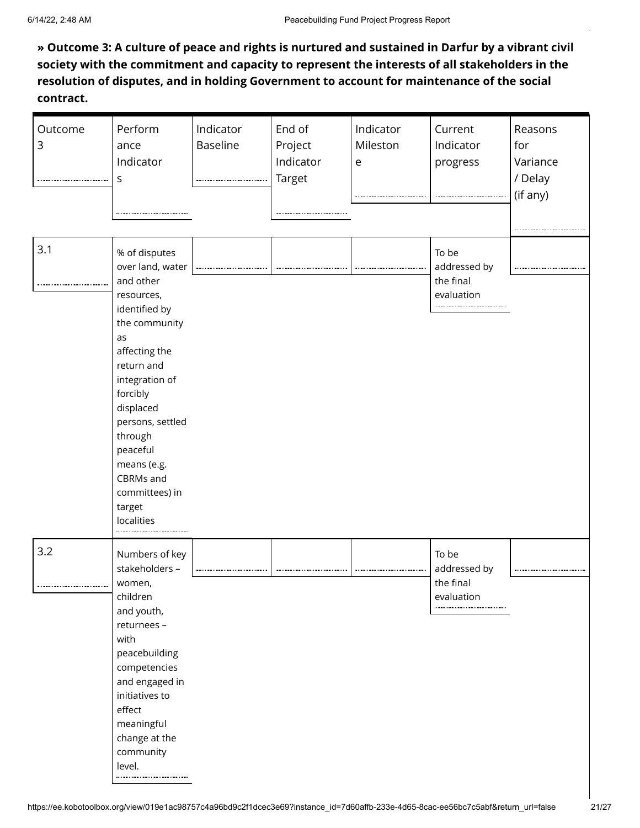**» Outcome 3: A culture of peace and rights is nurtured and sustained in Darfur by a vibrant civil society with the commitment and capacity to represent the interests of all stakeholders in the resolution of disputes, and in holding Government to account for maintenance of the social contract.**

| Outcome<br>3 | Perform<br>ance<br>Indicator<br>S                                                                                                                                                                                                                                                               | Indicator<br>Baseline | End of<br>Project<br>Indicator<br><b>Target</b> | Indicator<br>Mileston<br>e | Current<br>Indicator<br>progress                 | Reasons<br>for<br>Variance<br>/ Delay<br>(if any) |
|--------------|-------------------------------------------------------------------------------------------------------------------------------------------------------------------------------------------------------------------------------------------------------------------------------------------------|-----------------------|-------------------------------------------------|----------------------------|--------------------------------------------------|---------------------------------------------------|
| 3.1          | % of disputes<br>over land, water<br>and other<br>resources,<br>identified by<br>the community<br>as<br>affecting the<br>return and<br>integration of<br>forcibly<br>displaced<br>persons, settled<br>through<br>peaceful<br>means (e.g.<br>CBRMs and<br>committees) in<br>target<br>localities |                       |                                                 |                            | To be<br>addressed by<br>the final<br>evaluation |                                                   |
| 3.2          | Numbers of key<br>stakeholders -<br>women,<br>children<br>and youth,<br>returnees -<br>with<br>peacebuilding<br>competencies<br>and engaged in<br>initiatives to<br>effect<br>meaningful<br>change at the<br>community<br>level.                                                                |                       |                                                 |                            | To be<br>addressed by<br>the final<br>evaluation |                                                   |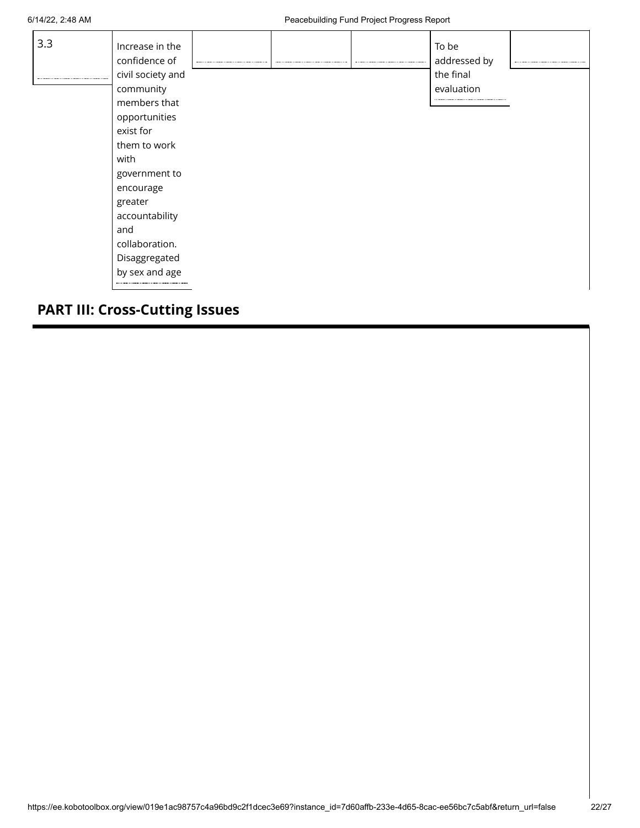| 3.3 | Increase in the<br>confidence of | ---------- |  | To be<br>addressed by |  |
|-----|----------------------------------|------------|--|-----------------------|--|
|     | civil society and                |            |  | the final             |  |
|     | community                        |            |  | evaluation            |  |
|     | members that                     |            |  |                       |  |
|     | opportunities                    |            |  |                       |  |
|     | exist for                        |            |  |                       |  |
|     | them to work                     |            |  |                       |  |
|     | with                             |            |  |                       |  |
|     | government to                    |            |  |                       |  |
|     | encourage                        |            |  |                       |  |
|     | greater                          |            |  |                       |  |
|     | accountability                   |            |  |                       |  |
|     | and                              |            |  |                       |  |
|     | collaboration.                   |            |  |                       |  |
|     | Disaggregated                    |            |  |                       |  |
|     | by sex and age                   |            |  |                       |  |
|     |                                  |            |  |                       |  |

## **PART III: Cross-Cutting Issues**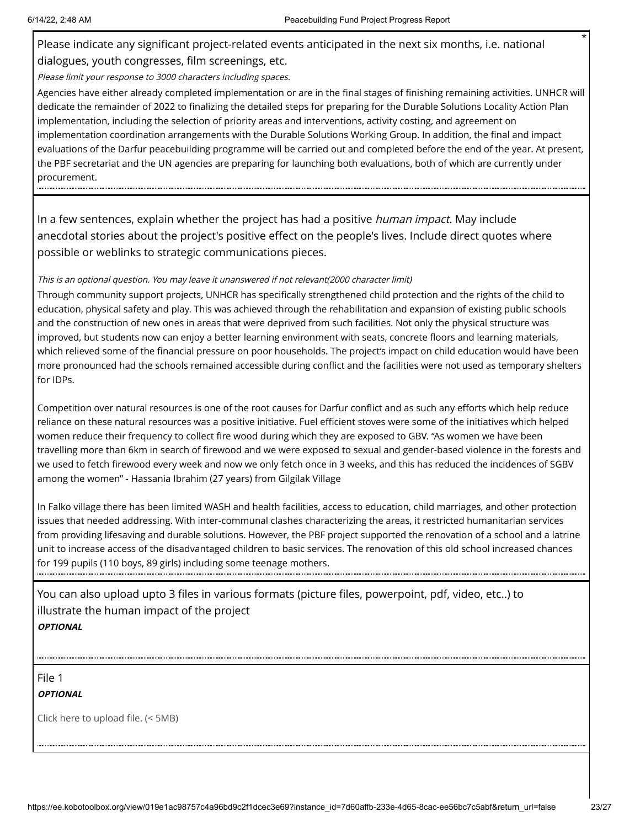Please indicate any significant project-related events anticipated in the next six months, i.e. national dialogues, youth congresses, film screenings, etc.

Please limit your response to 3000 characters including spaces.

Agencies have either already completed implementation or are in the final stages of finishing remaining activities. UNHCR will dedicate the remainder of 2022 to finalizing the detailed steps for preparing for the Durable Solutions Locality Action Plan implementation, including the selection of priority areas and interventions, activity costing, and agreement on implementation coordination arrangements with the Durable Solutions Working Group. In addition, the final and impact evaluations of the Darfur peacebuilding programme will be carried out and completed before the end of the year. At present, the PBF secretariat and the UN agencies are preparing for launching both evaluations, both of which are currently under procurement.

In a few sentences, explain whether the project has had a positive *human impact*. May include anecdotal stories about the project's positive effect on the people's lives. Include direct quotes where possible or weblinks to strategic communications pieces.

#### This is an optional question. You may leave it unanswered if not relevant(2000 character limit)

Through community support projects, UNHCR has specifically strengthened child protection and the rights of the child to education, physical safety and play. This was achieved through the rehabilitation and expansion of existing public schools and the construction of new ones in areas that were deprived from such facilities. Not only the physical structure was improved, but students now can enjoy a better learning environment with seats, concrete floors and learning materials, which relieved some of the financial pressure on poor households. The project's impact on child education would have been more pronounced had the schools remained accessible during conflict and the facilities were not used as temporary shelters for IDPs.

Competition over natural resources is one of the root causes for Darfur conflict and as such any efforts which help reduce reliance on these natural resources was a positive initiative. Fuel efficient stoves were some of the initiatives which helped women reduce their frequency to collect fire wood during which they are exposed to GBV. "As women we have been travelling more than 6km in search of firewood and we were exposed to sexual and gender-based violence in the forests and we used to fetch firewood every week and now we only fetch once in 3 weeks, and this has reduced the incidences of SGBV among the women" - Hassania Ibrahim (27 years) from Gilgilak Village

In Falko village there has been limited WASH and health facilities, access to education, child marriages, and other protection issues that needed addressing. With inter-communal clashes characterizing the areas, it restricted humanitarian services from providing lifesaving and durable solutions. However, the PBF project supported the renovation of a school and a latrine unit to increase access of the disadvantaged children to basic services. The renovation of this old school increased chances for 199 pupils (110 boys, 89 girls) including some teenage mothers.

You can also upload upto 3 files in various formats (picture files, powerpoint, pdf, video, etc..) to illustrate the human impact of the project **OPTIONAL**

File 1

**OPTIONAL**

Click here to upload file. (< 5MB)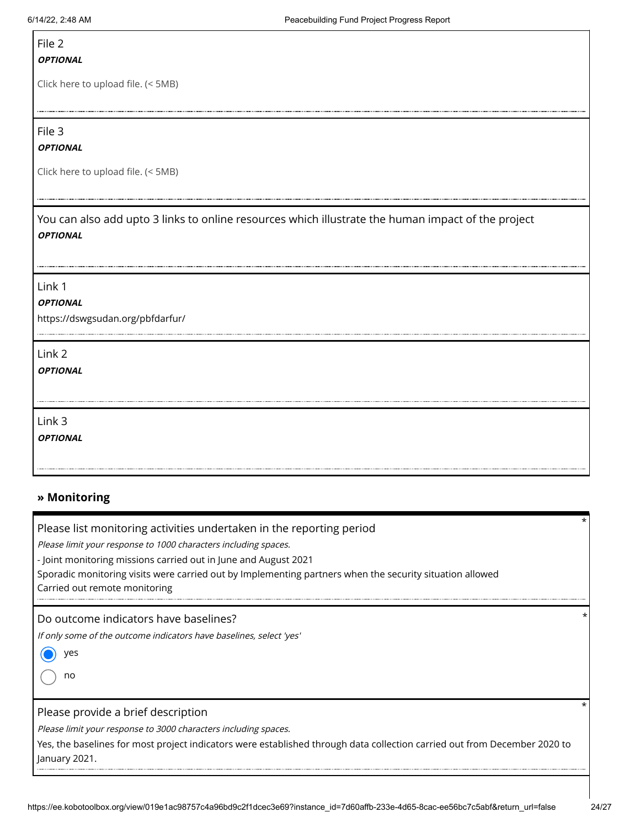## File 2

#### **OPTIONAL**

Click here to upload file. (< 5MB)

File 3

#### **OPTIONAL**

Click here to upload file. (< 5MB)

You can also add upto 3 links to online resources which illustrate the human impact of the project **OPTIONAL**

Link 1

#### **OPTIONAL**

https://dswgsudan.org/pbfdarfur/

Link 2

**OPTIONAL**

Link 3

**OPTIONAL**

### **» Monitoring**

Please list monitoring activities undertaken in the reporting period

Please limit your response to 1000 characters including spaces.

- Joint monitoring missions carried out in June and August 2021

Sporadic monitoring visits were carried out by Implementing partners when the security situation allowed

Carried out remote monitoring

Do outcome indicators have baselines?

If only some of the outcome indicators have baselines, select 'yes'

yes 0

no

#### Please provide a brief description

Please limit your response to 3000 characters including spaces.

Yes, the baselines for most project indicators were established through data collection carried out from December 2020 to January 2021.

\*

\*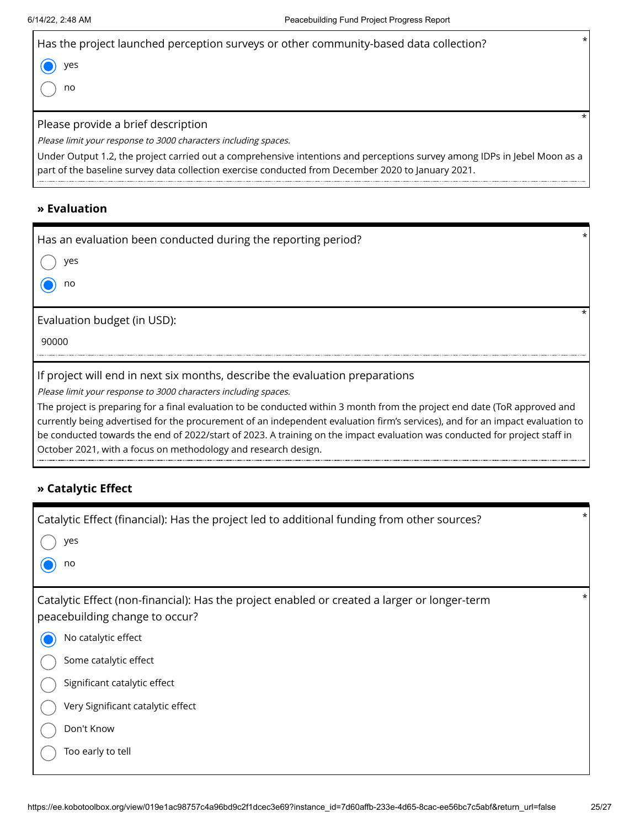| $\star$<br>Has the project launched perception surveys or other community-based data collection? |  |
|--------------------------------------------------------------------------------------------------|--|
| yes                                                                                              |  |
| no                                                                                               |  |
|                                                                                                  |  |
| Please provide a brief description                                                               |  |
|                                                                                                  |  |
| Please limit your response to 3000 characters including spaces.                                  |  |

### **» Evaluation**

| Has an evaluation been conducted during the reporting period?                                                                                                                                                                                                                                                                                                                             |
|-------------------------------------------------------------------------------------------------------------------------------------------------------------------------------------------------------------------------------------------------------------------------------------------------------------------------------------------------------------------------------------------|
| yes                                                                                                                                                                                                                                                                                                                                                                                       |
| no                                                                                                                                                                                                                                                                                                                                                                                        |
| Evaluation budget (in USD):                                                                                                                                                                                                                                                                                                                                                               |
| 90000                                                                                                                                                                                                                                                                                                                                                                                     |
| If project will end in next six months, describe the evaluation preparations                                                                                                                                                                                                                                                                                                              |
| Please limit your response to 3000 characters including spaces.                                                                                                                                                                                                                                                                                                                           |
| The project is preparing for a final evaluation to be conducted within 3 month from the project end date (ToR approved and<br>currently being advertised for the procurement of an independent evaluation firm's services), and for an impact evaluation to<br>be conducted towards the end of 2022/start of 2023. A training on the impact evaluation was conducted for project staff in |

# October 2021, with a focus on methodology and research design.

### **» Catalytic Effect**

| Catalytic Effect (financial): Has the project led to additional funding from other sources?                                    | $^\star$ |
|--------------------------------------------------------------------------------------------------------------------------------|----------|
| yes                                                                                                                            |          |
| no                                                                                                                             |          |
| Catalytic Effect (non-financial): Has the project enabled or created a larger or longer-term<br>peacebuilding change to occur? | *        |
| No catalytic effect                                                                                                            |          |
| Some catalytic effect                                                                                                          |          |
| Significant catalytic effect                                                                                                   |          |
| Very Significant catalytic effect                                                                                              |          |
| Don't Know                                                                                                                     |          |
| Too early to tell                                                                                                              |          |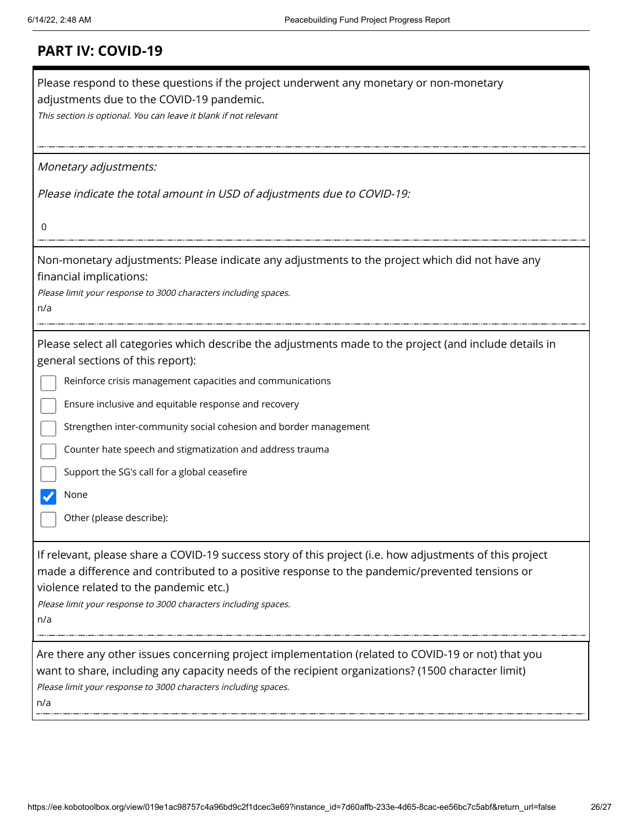| <b>PART IV: COVID-19</b> |  |  |
|--------------------------|--|--|
|                          |  |  |

| Please respond to these questions if the project underwent any monetary or non-monetary<br>adjustments due to the COVID-19 pandemic.<br>This section is optional. You can leave it blank if not relevant                                                                                                                       |
|--------------------------------------------------------------------------------------------------------------------------------------------------------------------------------------------------------------------------------------------------------------------------------------------------------------------------------|
| Monetary adjustments:                                                                                                                                                                                                                                                                                                          |
| Please indicate the total amount in USD of adjustments due to COVID-19:                                                                                                                                                                                                                                                        |
| 0                                                                                                                                                                                                                                                                                                                              |
| Non-monetary adjustments: Please indicate any adjustments to the project which did not have any<br>financial implications:<br>Please limit your response to 3000 characters including spaces.<br>n/a                                                                                                                           |
| Please select all categories which describe the adjustments made to the project (and include details in<br>general sections of this report):                                                                                                                                                                                   |
| Reinforce crisis management capacities and communications                                                                                                                                                                                                                                                                      |
| Ensure inclusive and equitable response and recovery                                                                                                                                                                                                                                                                           |
| Strengthen inter-community social cohesion and border management                                                                                                                                                                                                                                                               |
| Counter hate speech and stigmatization and address trauma                                                                                                                                                                                                                                                                      |
| Support the SG's call for a global ceasefire                                                                                                                                                                                                                                                                                   |
| None                                                                                                                                                                                                                                                                                                                           |
| Other (please describe):                                                                                                                                                                                                                                                                                                       |
| If relevant, please share a COVID-19 success story of this project (i.e. how adjustments of this project<br>made a difference and contributed to a positive response to the pandemic/prevented tensions or<br>violence related to the pandemic etc.)<br>Please limit your response to 3000 characters including spaces.<br>n/a |
| Are there any other issues concerning project implementation (related to COVID-19 or not) that you<br>want to share, including any capacity needs of the recipient organizations? (1500 character limit)<br>Please limit your response to 3000 characters including spaces.<br>n/a                                             |